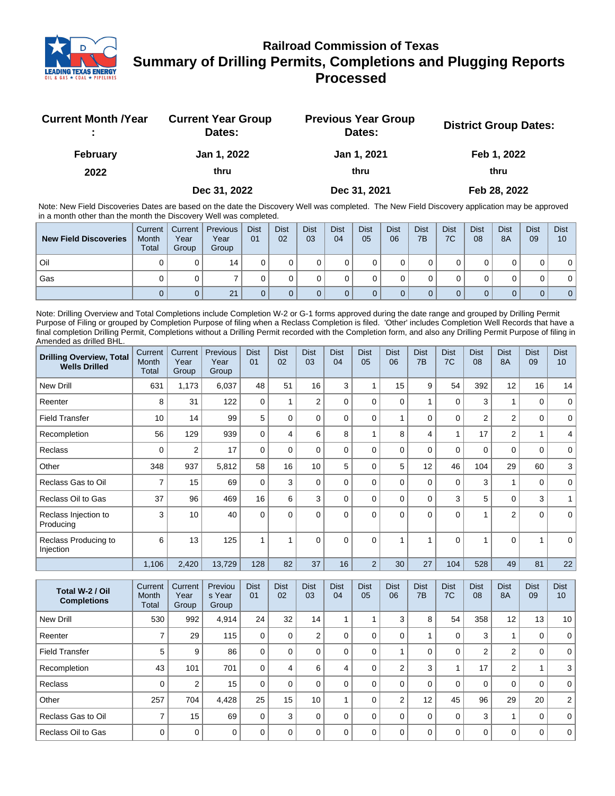

## **Railroad Commission of Texas Summary of Drilling Permits, Completions and Plugging Reports Processed**

| <b>Current Month / Year</b> | <b>Current Year Group</b><br>Dates: | <b>Previous Year Group</b><br>Dates: | <b>District Group Dates:</b> |
|-----------------------------|-------------------------------------|--------------------------------------|------------------------------|
| <b>February</b>             | Jan 1, 2022                         | Jan 1, 2021                          | Feb 1, 2022                  |
| 2022                        | thru                                | thru                                 | thru                         |
|                             | Dec 31, 2022                        | Dec 31, 2021                         | Feb 28, 2022                 |

Note: New Field Discoveries Dates are based on the date the Discovery Well was completed. The New Field Discovery application may be approved in a month other than the month the Discovery Well was completed.

| <b>New Field Discoveries</b> | Current<br>Month<br><b>Total</b> | Current  <br>Year<br>Group | <b>Previous</b><br>Year<br>Group | <b>Dist</b><br>01 | <b>Dist</b><br>02 | <b>Dist</b><br>03 | <b>Dist</b><br>04 | <b>Dist</b><br>05 | <b>Dist</b><br>06 | <b>Dist</b><br>7B | <b>Dist</b><br>7C | <b>Dist</b><br>08 | <b>Dist</b><br>8A | <b>Dist</b><br>09 | <b>Dist</b><br>10 |
|------------------------------|----------------------------------|----------------------------|----------------------------------|-------------------|-------------------|-------------------|-------------------|-------------------|-------------------|-------------------|-------------------|-------------------|-------------------|-------------------|-------------------|
| Oil                          |                                  |                            | 14                               |                   |                   |                   |                   |                   |                   |                   |                   |                   |                   |                   | 0                 |
| Gas                          |                                  |                            |                                  |                   |                   |                   |                   |                   |                   |                   |                   |                   |                   |                   | 0 <sup>1</sup>    |
|                              |                                  |                            | 21                               |                   |                   |                   |                   |                   |                   |                   |                   |                   |                   |                   | 0 <sup>1</sup>    |

Note: Drilling Overview and Total Completions include Completion W-2 or G-1 forms approved during the date range and grouped by Drilling Permit Purpose of Filing or grouped by Completion Purpose of filing when a Reclass Completion is filed. 'Other' includes Completion Well Records that have a final completion Drilling Permit, Completions without a Drilling Permit recorded with the Completion form, and also any Drilling Permit Purpose of filing in Amended as drilled BHL.

| <b>Drilling Overview, Total</b><br><b>Wells Drilled</b> | Current<br>Month<br><b>Total</b> | Current<br>Year<br>Group | Previous<br>Year<br>Group | <b>Dist</b><br>01 | <b>Dist</b><br>02 | <b>Dist</b><br>03 | <b>Dist</b><br>04 | <b>Dist</b><br>05 | <b>Dist</b><br>06 | <b>Dist</b><br>7B | <b>Dist</b><br>7C       | <b>Dist</b><br>08 | <b>Dist</b><br><b>8A</b> | <b>Dist</b><br>09 | <b>Dist</b><br>10 |
|---------------------------------------------------------|----------------------------------|--------------------------|---------------------------|-------------------|-------------------|-------------------|-------------------|-------------------|-------------------|-------------------|-------------------------|-------------------|--------------------------|-------------------|-------------------|
| <b>New Drill</b>                                        | 631                              | 1,173                    | 6,037                     | 48                | 51                | 16                | 3                 |                   | 15                | 9                 | 54                      | 392               | 12                       | 16                | 14                |
| Reenter                                                 | 8                                | 31                       | 122                       | $\Omega$          |                   | $\overline{2}$    | $\Omega$          | $\Omega$          | $\Omega$          | 1                 | 0                       | 3                 | 1                        | 0                 | $\mathbf 0$       |
| <b>Field Transfer</b>                                   | 10                               | 14                       | 99                        | 5                 | $\Omega$          | 0                 | $\Omega$          | $\Omega$          |                   | 0                 | $\mathbf 0$             | $\overline{2}$    | 2                        | $\mathbf 0$       | $\mathbf 0$       |
| Recompletion                                            | 56                               | 129                      | 939                       | $\Omega$          | 4                 | 6                 | 8                 |                   | 8                 | 4                 | $\overline{\mathbf{A}}$ | 17                | 2                        |                   | 4                 |
| Reclass                                                 | 0                                | 2                        | 17                        | $\Omega$          | $\Omega$          | 0                 | $\Omega$          | $\Omega$          | 0                 | 0                 | 0                       | 0                 | 0                        | 0                 | 0                 |
| Other                                                   | 348                              | 937                      | 5,812                     | 58                | 16                | 10                | 5                 | $\Omega$          | 5                 | 12                | 46                      | 104               | 29                       | 60                | 3                 |
| Reclass Gas to Oil                                      | 7                                | 15                       | 69                        | 0                 | 3                 | 0                 | $\Omega$          | $\Omega$          | $\Omega$          | 0                 | $\mathbf 0$             | 3                 | 1                        | $\mathbf 0$       | $\mathbf 0$       |
| Reclass Oil to Gas                                      | 37                               | 96                       | 469                       | 16                | 6                 | 3                 | $\Omega$          | $\Omega$          | $\Omega$          | 0                 | 3                       | 5                 | 0                        | 3                 |                   |
| Reclass Injection to<br>Producing                       | 3                                | 10                       | 40                        | $\Omega$          | $\Omega$          | $\Omega$          | $\Omega$          | $\Omega$          | $\Omega$          | $\Omega$          | $\Omega$                |                   | 2                        | $\Omega$          | $\Omega$          |
| Reclass Producing to<br>Injection                       | 6                                | 13                       | 125                       |                   | 4                 | $\Omega$          | $\Omega$          | $\Omega$          |                   | 1                 | $\Omega$                |                   | $\Omega$                 |                   | $\Omega$          |
|                                                         | 1,106                            | 2,420                    | 13,729                    | 128               | 82                | 37                | 16                | $\overline{2}$    | 30                | 27                | 104                     | 528               | 49                       | 81                | 22                |

| Total W-2 / Oil<br><b>Completions</b> | Current<br>Month<br>Total | Current<br>Year<br>Group | Previou<br>s Year<br>Group | <b>Dist</b><br>01 | <b>Dist</b><br>02 | <b>Dist</b><br>03 | <b>Dist</b><br>04 | <b>Dist</b><br>05 | Dist<br>06     | <b>Dist</b><br>7B | <b>Dist</b><br>7C | <b>Dist</b><br>08 | <b>Dist</b><br><b>8A</b> | <b>Dist</b><br>09 | <b>Dist</b><br>10 |
|---------------------------------------|---------------------------|--------------------------|----------------------------|-------------------|-------------------|-------------------|-------------------|-------------------|----------------|-------------------|-------------------|-------------------|--------------------------|-------------------|-------------------|
| New Drill                             | 530                       | 992                      | 4,914                      | 24                | 32                | 14                |                   |                   | 3              | 8                 | 54                | 358               | 12                       | 13                | 10 <sup>1</sup>   |
| Reenter                               |                           | 29                       | 115                        | 0                 | 0                 | 2                 |                   |                   | 0              |                   | 0                 | 3                 |                          | 0                 | $\Omega$          |
| <b>Field Transfer</b>                 | 5                         | 9                        | 86                         | $\Omega$          | $\Omega$          |                   | $\Omega$          | $\Omega$          |                | 0                 | 0                 | $\overline{2}$    | 2                        | 0                 | $\Omega$          |
| Recompletion                          | 43                        | 101                      | 701                        | $\Omega$          | 4                 | 6                 | 4                 |                   | $\overline{2}$ | 3                 |                   | 17                | $\overline{2}$           |                   | 3                 |
| <b>Reclass</b>                        | $\Omega$                  | 2                        | 15                         | 0                 | $\Omega$          |                   | $\Omega$          | $\Omega$          | $\Omega$       | 0                 | 0                 | 0                 | 0                        | 0                 | $\Omega$          |
| Other                                 | 257                       | 704                      | 4,428                      | 25                | 15                | 10 <sup>1</sup>   |                   | $\Omega$          | $\overline{2}$ | 12                | 45                | 96                | 29                       | 20                | $\overline{2}$    |
| Reclass Gas to Oil                    | $\overline{ }$            | 15                       | 69                         | $\Omega$          | 3                 | 0                 | $\Omega$          | $\Omega$          | $\Omega$       | $\Omega$          | 0                 | 3                 |                          | 0                 | $\Omega$          |
| Reclass Oil to Gas                    | $\Omega$                  | $\mathbf 0$              | $\Omega$                   | $\Omega$          | $\Omega$          | U                 | $\Omega$          | $\Omega$          | $\Omega$       | $\Omega$          | $\Omega$          | $\mathbf 0$       | 0                        | 0                 | $\overline{0}$    |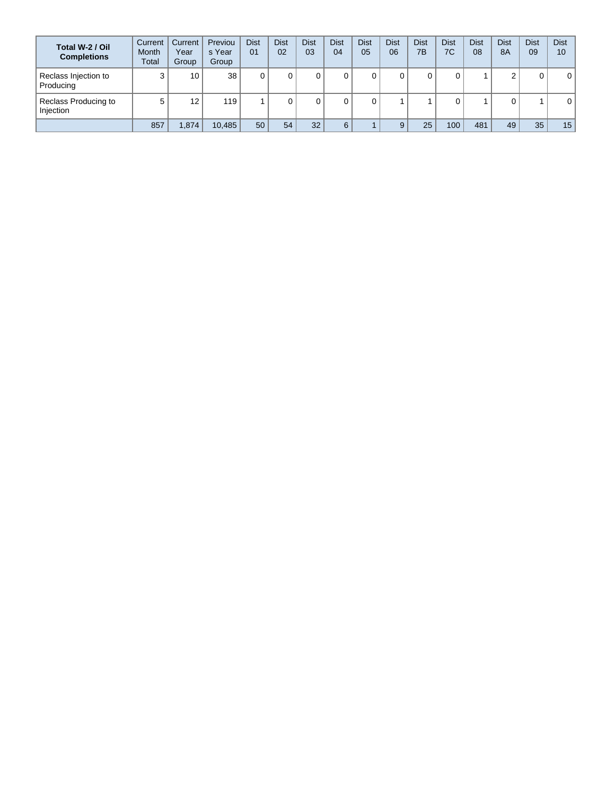| Total W-2 / Oil<br><b>Completions</b> | Current<br><b>Month</b><br>Total | Current<br>Year<br>Group | Previou<br>s Year<br>Group | <b>Dist</b><br>01 | <b>Dist</b><br>02 | <b>Dist</b><br>03 | <b>Dist</b><br>04 | <b>Dist</b><br>05 | <b>Dist</b><br>06 | <b>Dist</b><br>7B | Dist<br>7C       | <b>Dist</b><br>08 | <b>Dist</b><br><b>8A</b> | <b>Dist</b><br>09 | <b>Dist</b><br>10 |
|---------------------------------------|----------------------------------|--------------------------|----------------------------|-------------------|-------------------|-------------------|-------------------|-------------------|-------------------|-------------------|------------------|-------------------|--------------------------|-------------------|-------------------|
| Reclass Injection to<br>Producing     | ◠                                | 10                       | 38                         |                   |                   |                   | 0                 |                   |                   |                   |                  |                   | ◠                        | 0                 | 0                 |
| Reclass Producing to<br>Injection     | 5                                | 12                       | 119                        |                   |                   |                   | 0                 |                   |                   |                   |                  |                   |                          |                   | 0                 |
|                                       | 857                              | .874                     | 10.485                     | 50                | 54                | 32                | 6                 |                   |                   | 25                | 100 <sub>1</sub> | 481               | 49                       | 35                | 15                |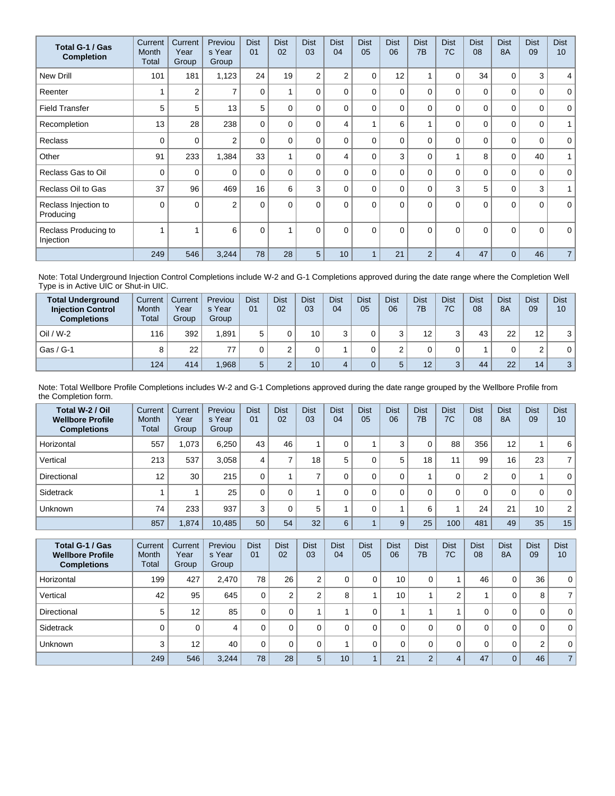| Total G-1 / Gas<br><b>Completion</b> | Current<br>Month<br>Total | Current<br>Year<br>Group | Previou<br>s Year<br>Group | <b>Dist</b><br>01 | <b>Dist</b><br>02 | <b>Dist</b><br>03 | <b>Dist</b><br>04 | <b>Dist</b><br>05 | <b>Dist</b><br>06 | <b>Dist</b><br>7 <sub>B</sub> | <b>Dist</b><br>7C | <b>Dist</b><br>08 | <b>Dist</b><br><b>8A</b> | <b>Dist</b><br>09 | <b>Dist</b><br>10 <sup>1</sup> |
|--------------------------------------|---------------------------|--------------------------|----------------------------|-------------------|-------------------|-------------------|-------------------|-------------------|-------------------|-------------------------------|-------------------|-------------------|--------------------------|-------------------|--------------------------------|
| <b>New Drill</b>                     | 101                       | 181                      | 1,123                      | 24                | 19                | $\overline{2}$    | $\overline{2}$    | 0                 | 12                |                               | 0                 | 34                | 0                        | 3                 | $\overline{4}$                 |
| Reenter                              |                           | $\overline{2}$           | $\overline{\phantom{a}}$   | 0                 |                   | $\Omega$          | 0                 | $\Omega$          | $\Omega$          | $\Omega$                      | $\Omega$          | 0                 | $\Omega$                 | 0                 | $\mathbf 0$                    |
| <b>Field Transfer</b>                | 5                         | 5                        | 13                         | 5                 | $\overline{0}$    | $\Omega$          | 0                 | $\Omega$          | $\Omega$          | $\Omega$                      | 0                 | 0                 | $\Omega$                 | 0                 | $\mathbf 0$                    |
| Recompletion                         | 13                        | 28                       | 238                        | $\Omega$          | $\Omega$          | $\Omega$          | 4                 |                   | 6                 |                               | $\Omega$          | $\Omega$          | $\Omega$                 | 0                 | $\mathbf{1}$                   |
| <b>Reclass</b>                       | $\Omega$                  | 0                        | $\overline{2}$             | $\mathbf{0}$      | 0                 | $\Omega$          | 0                 | $\Omega$          | $\Omega$          | $\Omega$                      | $\Omega$          | $\mathbf{0}$      | $\Omega$                 | 0                 | $\mathbf 0$                    |
| Other                                | 91                        | 233                      | 1,384                      | 33                |                   | 0                 | 4                 | $\Omega$          | 3                 | 0                             | 1                 | 8                 | $\mathbf 0$              | 40                | 1                              |
| Reclass Gas to Oil                   | 0                         | 0                        | $\Omega$                   | $\Omega$          | $\Omega$          | $\Omega$          | 0                 | $\Omega$          | $\Omega$          | $\Omega$                      | $\Omega$          | 0                 | $\Omega$                 | 0                 | $\mathbf{0}$                   |
| Reclass Oil to Gas                   | 37                        | 96                       | 469                        | 16                | 6                 | 3                 | 0                 | $\Omega$          | $\Omega$          | $\Omega$                      | 3                 | 5                 | $\mathbf 0$              | 3                 | 1                              |
| Reclass Injection to<br>Producing    | $\Omega$                  | $\Omega$                 | $\overline{2}$             | $\Omega$          | $\Omega$          | $\Omega$          | $\Omega$          | $\Omega$          | $\Omega$          | $\Omega$                      | $\Omega$          | $\Omega$          | $\Omega$                 | $\Omega$          | $\mathbf{0}$                   |
| Reclass Producing to<br>Injection    |                           |                          | 6                          | $\mathbf{0}$      |                   | $\Omega$          | $\Omega$          | $\Omega$          | $\Omega$          | $\Omega$                      | $\Omega$          | $\Omega$          | $\Omega$                 | $\Omega$          | $\mathbf 0$                    |
|                                      | 249                       | 546                      | 3,244                      | 78                | 28                | 5                 | 10                |                   | 21                | $\overline{2}$                | 4                 | 47                | $\Omega$                 | 46                | $\overline{7}$                 |

Note: Total Underground Injection Control Completions include W-2 and G-1 Completions approved during the date range where the Completion Well Type is in Active UIC or Shut-in UIC.

| <b>Total Underground</b><br><b>Injection Control</b><br><b>Completions</b> | Current<br>Month<br>Total | Current<br>Year<br>Group | Previou<br>s Year<br>Group | <b>Dist</b><br>01 | <b>Dist</b><br>02 | <b>Dist</b><br>03 | <b>Dist</b><br>04 | <b>Dist</b><br>05 | Dist<br>06 | <b>Dist</b><br>7B | Dist<br>7C        | Dist<br>08 | <b>Dist</b><br><b>8A</b> | <b>Dist</b><br>09 | <b>Dist</b><br>10 |
|----------------------------------------------------------------------------|---------------------------|--------------------------|----------------------------|-------------------|-------------------|-------------------|-------------------|-------------------|------------|-------------------|-------------------|------------|--------------------------|-------------------|-------------------|
| $Oil / W-2$                                                                | 116                       | 392                      | .891                       |                   |                   | 10 <sub>1</sub>   |                   |                   | ີ          | 12                | 3                 | 43         | 22                       | 12                | 3                 |
| Gas / G-1                                                                  |                           | 22                       |                            |                   |                   |                   |                   |                   |            |                   |                   |            | 0                        | $\sim$            | 0                 |
|                                                                            | 124                       | 414                      | .968                       |                   |                   | 10 <sup>1</sup>   |                   |                   | 5          | 12                | $\mathbf{z}$<br>J | 44         | 22                       | 14                | 3                 |

Note: Total Wellbore Profile Completions includes W-2 and G-1 Completions approved during the date range grouped by the Wellbore Profile from the Completion form.

| Total W-2 / Oil<br><b>Wellbore Profile</b><br><b>Completions</b> | Current<br>Month<br>Total | Current<br>Year<br>Group | Previou<br>s Year<br>Group | <b>Dist</b><br>01 | <b>Dist</b><br>02 | <b>Dist</b><br>03 | <b>Dist</b><br>04 | <b>Dist</b><br>05 | <b>Dist</b><br>06 | <b>Dist</b><br>7B | <b>Dist</b><br>7C | <b>Dist</b><br>08 | <b>Dist</b><br><b>8A</b> | <b>Dist</b><br>09 | <b>Dist</b><br>10 |
|------------------------------------------------------------------|---------------------------|--------------------------|----------------------------|-------------------|-------------------|-------------------|-------------------|-------------------|-------------------|-------------------|-------------------|-------------------|--------------------------|-------------------|-------------------|
| Horizontal                                                       | 557                       | 1.073                    | 6.250                      | 43                | 46                |                   | 0                 |                   | 3                 | 0                 | 88                | 356               | 12                       |                   | 6                 |
| Vertical                                                         | 213                       | 537                      | 3.058                      | 4                 |                   | 18 <sub>1</sub>   | 5                 |                   | 5                 | 18                | 11                | 99                | 16                       | 23                | $\overline{7}$    |
| Directional                                                      | 12                        | 30                       | 215                        | 0                 |                   |                   |                   |                   | 0                 |                   | 0                 | 2                 | 0                        |                   | $\mathbf{0}$      |
| Sidetrack                                                        |                           |                          | 25                         |                   | 0                 |                   | 0                 |                   |                   | 0                 | 0                 | 0                 | 0                        | 0                 | $\mathbf{0}$      |
| <b>Unknown</b>                                                   | 74                        | 233                      | 937                        | 3                 |                   | 5                 |                   |                   |                   | 6                 |                   | 24                | 21                       | 10                | $\overline{2}$    |
|                                                                  | 857                       | 1,874                    | 10,485                     | 50                | 54                | 32                | 6                 |                   | 9                 | 25                | 100               | 481               | 49                       | 35                | 15 <sub>1</sub>   |

| Total G-1 / Gas<br><b>Wellbore Profile</b><br><b>Completions</b> | Current<br><b>Month</b><br>Total | Current<br>Year<br>Group | Previou<br>s Year<br>Group | <b>Dist</b><br>01 | <b>Dist</b><br>02 | <b>Dist</b><br>03 | <b>Dist</b><br>04 | <b>Dist</b><br>05 | <b>Dist</b><br>06 | <b>Dist</b><br>7B | <b>Dist</b><br>7C | <b>Dist</b><br>08 | <b>Dist</b><br><b>8A</b> | <b>Dist</b><br>09 | <b>Dist</b><br>10 |
|------------------------------------------------------------------|----------------------------------|--------------------------|----------------------------|-------------------|-------------------|-------------------|-------------------|-------------------|-------------------|-------------------|-------------------|-------------------|--------------------------|-------------------|-------------------|
| Horizontal                                                       | 199                              | 427                      | 2,470                      | 78                | 26                | 2                 | U                 |                   | 10                | 0                 |                   | 46                | 0                        | 36                | $\overline{0}$    |
| Vertical                                                         | 42                               | 95                       | 645                        | 0                 | ◠                 | C                 | 8                 |                   | 10                |                   | 2                 |                   | 0                        | 8                 | 7 <sup>1</sup>    |
| Directional                                                      | 5                                | 12                       | 85                         | 0                 | 0                 |                   |                   |                   |                   |                   |                   | 0                 | 0                        | 0                 | $\overline{0}$    |
| Sidetrack                                                        |                                  | 0                        | 4                          | 0                 | 0                 | $\Omega$          |                   |                   |                   | 0                 | 0                 | 0                 | 0                        | 0                 | $\overline{0}$    |
| <b>Unknown</b>                                                   | 3                                | 12                       | 40                         | 0                 |                   | 0                 |                   |                   |                   | 0                 | 0                 | 0                 | $\mathbf 0$              | 2                 | $\overline{0}$    |
|                                                                  | 249                              | 546                      | 3,244                      | 78                | 28                | 5                 | 10 <sup>°</sup>   |                   | 21                | 2                 | 4                 | 47                | $\overline{0}$           | 46                | 7 <sup>1</sup>    |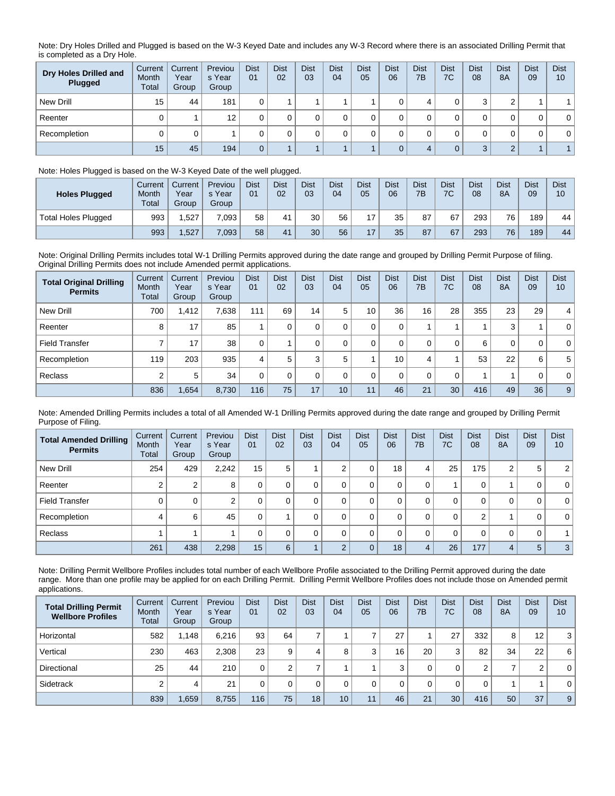Note: Dry Holes Drilled and Plugged is based on the W-3 Keyed Date and includes any W-3 Record where there is an associated Drilling Permit that is completed as a Dry Hole.

| Dry Holes Drilled and<br>Plugged | Current<br>Month<br>Total | Current<br>Year<br>Group | Previou<br>s Year<br>Group | <b>Dist</b><br>01 | <b>Dist</b><br>02 | <b>Dist</b><br>03 | <b>Dist</b><br>04 | <b>Dist</b><br>05 | <b>Dist</b><br>06 | <b>Dist</b><br>7B | <b>Dist</b><br>7C | <b>Dist</b><br>08 | <b>Dist</b><br>8A | <b>Dist</b><br>09 | <b>Dist</b><br>10 |
|----------------------------------|---------------------------|--------------------------|----------------------------|-------------------|-------------------|-------------------|-------------------|-------------------|-------------------|-------------------|-------------------|-------------------|-------------------|-------------------|-------------------|
| New Drill                        | 15                        | 44                       | 181                        |                   |                   |                   |                   |                   |                   |                   | υ                 | ົ                 | ◠                 |                   |                   |
| Reenter                          |                           |                          | 12                         |                   |                   |                   |                   |                   |                   |                   | υ                 |                   | 0                 | 0                 | $\mathbf 0$       |
| Recompletion                     |                           | 0                        |                            |                   |                   |                   |                   |                   |                   |                   | υ                 |                   |                   | 0                 | $\mathbf 0$       |
|                                  | 15                        | 45                       | 194                        | 0                 |                   |                   |                   |                   |                   |                   | $\overline{0}$    | 3                 | $\sim$            |                   |                   |

## Note: Holes Plugged is based on the W-3 Keyed Date of the well plugged.

| <b>Holes Plugged</b> | Current<br>Month<br><b>Total</b> | Current<br>Year<br>Group | Previou<br>s Year<br>Group | <b>Dist</b><br>01 | <b>Dist</b><br>02 | <b>Dist</b><br>03 | Dist<br>04 | <b>Dist</b><br>05 | Dist<br>06 | <b>Dist</b><br>7B | <b>Dist</b><br>7C | <b>Dist</b><br>08 | <b>Dist</b><br><b>8A</b> | <b>Dist</b><br>09 | <b>Dist</b><br>10 |
|----------------------|----------------------------------|--------------------------|----------------------------|-------------------|-------------------|-------------------|------------|-------------------|------------|-------------------|-------------------|-------------------|--------------------------|-------------------|-------------------|
| Total Holes Plugged  | 993                              | .527                     | 7.093                      | 58                | 41                | 30                | 56         | 17                | 35         | 87                | 67                | 293               | 76                       | 189               | 44                |
|                      | 993                              | ,527                     | 7,093                      | 58                | 41                | 30                | 56         | 17                | 35         | 87                | 67                | 293               | 76                       | 189               | 44 <sub>1</sub>   |

Note: Original Drilling Permits includes total W-1 Drilling Permits approved during the date range and grouped by Drilling Permit Purpose of filing. Original Drilling Permits does not include Amended permit applications.

| <b>Total Original Drilling</b><br><b>Permits</b> | Current<br>Month<br>Total | Current<br>Year<br>Group | Previou<br>s Year<br>Group | <b>Dist</b><br>01 | <b>Dist</b><br>02 | <b>Dist</b><br>03 | <b>Dist</b><br>04 | <b>Dist</b><br>05 | <b>Dist</b><br>06 | <b>Dist</b><br>7B | <b>Dist</b><br>7C | <b>Dist</b><br>08 | <b>Dist</b><br><b>8A</b> | <b>Dist</b><br>09 | <b>Dist</b><br>10 |
|--------------------------------------------------|---------------------------|--------------------------|----------------------------|-------------------|-------------------|-------------------|-------------------|-------------------|-------------------|-------------------|-------------------|-------------------|--------------------------|-------------------|-------------------|
| New Drill                                        | 700                       | 1,412                    | 7.638                      | 111               | 69                | 14                | 5                 | 10                | 36                | 16                | 28                | 355               | 23                       | 29                | $\vert$ 4         |
| Reenter                                          | 8                         | 17                       | 85                         |                   | 0                 |                   | $\Omega$          |                   | $\mathbf 0$       |                   |                   |                   | 3                        |                   | $\overline{0}$    |
| <b>Field Transfer</b>                            |                           | 17                       | 38                         | $\Omega$          |                   |                   |                   |                   | 0                 | 0                 | $\mathbf 0$       | 6                 | 0                        | 0                 | $\overline{0}$    |
| Recompletion                                     | 119                       | 203                      | 935                        | 4                 | 5                 | 3                 | 5                 |                   | 10                | 4                 |                   | 53                | 22                       | 6                 | 5 <sup>1</sup>    |
| Reclass                                          | $\sim$                    | 5                        | 34                         | $\Omega$          | $\Omega$          | 0                 | $\Omega$          |                   | $\Omega$          | $\Omega$          | $\mathbf 0$       |                   |                          | 0                 | $\overline{0}$    |
|                                                  | 836                       | 1,654                    | 8,730                      | 116               | 75                | 17                | 10                | 11                | 46                | 21                | 30                | 416               | 49                       | 36                | 9 <sup>1</sup>    |

Note: Amended Drilling Permits includes a total of all Amended W-1 Drilling Permits approved during the date range and grouped by Drilling Permit Purpose of Filing.

| <b>Total Amended Drilling</b><br><b>Permits</b> | Current<br>Month<br>Total | Current<br>Year<br>Group | Previou<br>s Year<br>Group | <b>Dist</b><br>01 | <b>Dist</b><br>02 | <b>Dist</b><br>03 | <b>Dist</b><br>04 | <b>Dist</b><br>05 | <b>Dist</b><br>06 | <b>Dist</b><br>7B | <b>Dist</b><br>7C | <b>Dist</b><br>08 | <b>Dist</b><br>8A | <b>Dist</b><br>09 | <b>Dist</b><br>10 |
|-------------------------------------------------|---------------------------|--------------------------|----------------------------|-------------------|-------------------|-------------------|-------------------|-------------------|-------------------|-------------------|-------------------|-------------------|-------------------|-------------------|-------------------|
| New Drill                                       | 254                       | 429                      | 2,242                      | 15                | 5                 |                   | ⌒                 | 0                 | 18                | 4                 | 25                | 175               | 2                 | 5                 | 2 <sup>1</sup>    |
| Reenter                                         |                           | 2                        | 8                          | 0                 |                   | 0                 |                   | 0                 | 0                 | 0                 |                   | 0                 |                   | 0                 | $\overline{0}$    |
| <b>Field Transfer</b>                           |                           | 0                        | ົ                          | 0                 |                   |                   |                   | 0                 | 0                 | 0                 | 0                 | 0                 | 0                 | 0                 | $\overline{0}$    |
| Recompletion                                    | 4                         | 6                        | 45                         | 0                 |                   |                   |                   | 0                 | 0                 | 0                 | 0                 | 2                 |                   | 0                 | $\overline{0}$    |
| Reclass                                         |                           |                          |                            | 0                 |                   | 0                 |                   | 0                 | 0                 | 0                 | 0                 | 0                 | 0                 | 0                 |                   |
|                                                 | 261                       | 438                      | 2,298                      | 15                | 6                 |                   | $\sqrt{2}$        | $\mathbf{0}$      | 18                | 4                 | 26                | 177               | 4                 | 5                 | 3 <sup>1</sup>    |

Note: Drilling Permit Wellbore Profiles includes total number of each Wellbore Profile associated to the Drilling Permit approved during the date range. More than one profile may be applied for on each Drilling Permit. Drilling Permit Wellbore Profiles does not include those on Amended permit applications.

| <b>Total Drilling Permit</b><br><b>Wellbore Profiles</b> | Current<br>Month<br>Total | Current<br>Year<br>Group | Previou<br>s Year<br>Group | <b>Dist</b><br>01 | <b>Dist</b><br>02 | <b>Dist</b><br>03 | <b>Dist</b><br>04 | <b>Dist</b><br>05 | <b>Dist</b><br>06 | <b>Dist</b><br>7B | <b>Dist</b><br>7C | <b>Dist</b><br>08 | <b>Dist</b><br>8A | <b>Dist</b><br>09 | <b>Dist</b><br>10 |
|----------------------------------------------------------|---------------------------|--------------------------|----------------------------|-------------------|-------------------|-------------------|-------------------|-------------------|-------------------|-------------------|-------------------|-------------------|-------------------|-------------------|-------------------|
| Horizontal                                               | 582                       | 1.148                    | 6.216                      | 93                | 64                |                   |                   |                   | 27                |                   | 27                | 332               | 8                 | $12 \overline{ }$ | 3                 |
| Vertical                                                 | 230                       | 463                      | 2.308                      | 23                | 9                 |                   | 8                 |                   | 16                | 20                | 3                 | 82                | 34                | 22                | 6                 |
| Directional                                              | 25                        | 44                       | 210                        |                   |                   |                   |                   |                   | $\sim$            |                   | 0                 | ◠                 | ⇁                 | ົ                 | $\mathbf{0}$      |
| Sidetrack                                                |                           | 4                        | 21                         |                   |                   |                   |                   |                   |                   |                   | 0                 |                   |                   |                   | $\mathbf{0}$      |
|                                                          | 839                       | 1,659                    | 8.755                      | 116               | 75                | 18 <sup>1</sup>   | 10                | 11                | 46                | 21                | 30                | 416               | 50                | 37                | 9 <sub>1</sub>    |